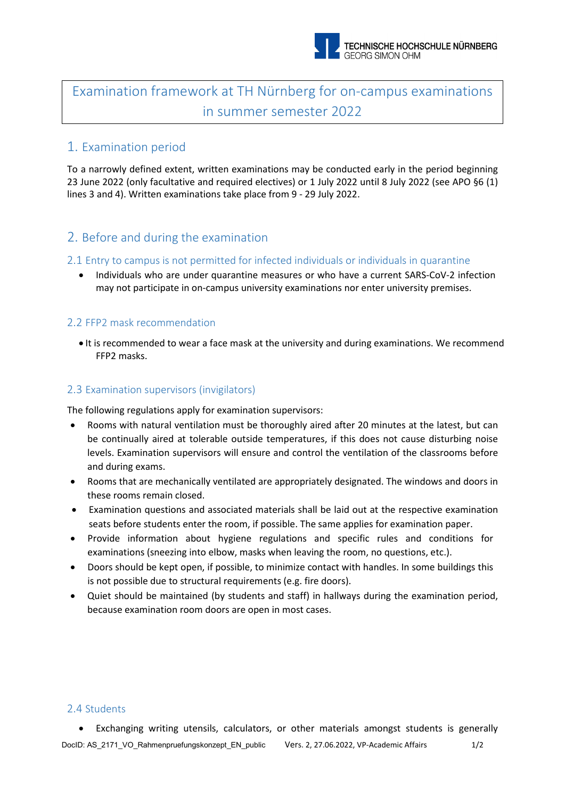

# Examination framework at TH Nürnberg for on-campus examinations in summer semester 2022

### 1. Examination period

To a narrowly defined extent, written examinations may be conducted early in the period beginning 23 June 2022 (only facultative and required electives) or 1 July 2022 until 8 July 2022 (see APO §6 (1) lines 3 and 4). Written examinations take place from 9 - 29 July 2022.

### 2. Before and during the examination

#### 2.1 Entry to campus is not permitted for infected individuals or individuals in quarantine

• Individuals who are under quarantine measures or who have a current SARS-CoV-2 infection may not participate in on-campus university examinations nor enter university premises.

#### 2.2 FFP2 mask recommendation

• It is recommended to wear a face mask at the university and during examinations. We recommend FFP2 masks.

#### 2.3 Examination supervisors (invigilators)

The following regulations apply for examination supervisors:

- Rooms with natural ventilation must be thoroughly aired after 20 minutes at the latest, but can be continually aired at tolerable outside temperatures, if this does not cause disturbing noise levels. Examination supervisors will ensure and control the ventilation of the classrooms before and during exams.
- Rooms that are mechanically ventilated are appropriately designated. The windows and doors in these rooms remain closed.
- Examination questions and associated materials shall be laid out at the respective examination seats before students enter the room, if possible. The same applies for examination paper.
- Provide information about hygiene regulations and specific rules and conditions for examinations (sneezing into elbow, masks when leaving the room, no questions, etc.).
- Doors should be kept open, if possible, to minimize contact with handles. In some buildings this is not possible due to structural requirements (e.g. fire doors).
- Quiet should be maintained (by students and staff) in hallways during the examination period, because examination room doors are open in most cases.

#### 2.4 Students